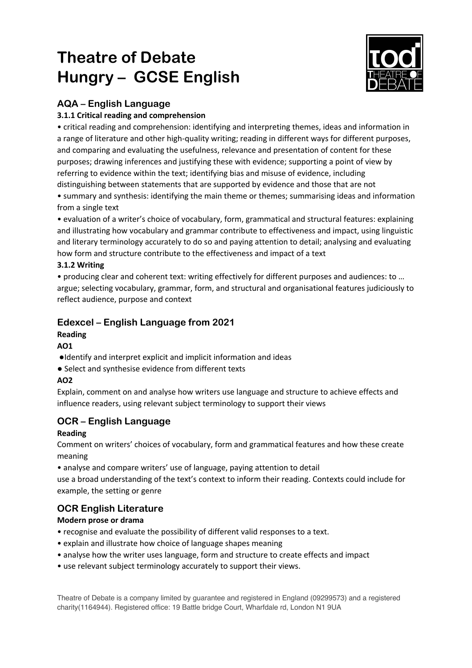# **Theatre of Debate Hungry – GCSE English**



## **AQA – English Language**

#### **3.1.1 Critical reading and comprehension**

• critical reading and comprehension: identifying and interpreting themes, ideas and information in a range of literature and other high-quality writing; reading in different ways for different purposes, and comparing and evaluating the usefulness, relevance and presentation of content for these purposes; drawing inferences and justifying these with evidence; supporting a point of view by referring to evidence within the text; identifying bias and misuse of evidence, including distinguishing between statements that are supported by evidence and those that are not

• summary and synthesis: identifying the main theme or themes; summarising ideas and information from a single text

• evaluation of a writer's choice of vocabulary, form, grammatical and structural features: explaining and illustrating how vocabulary and grammar contribute to effectiveness and impact, using linguistic and literary terminology accurately to do so and paying attention to detail; analysing and evaluating how form and structure contribute to the effectiveness and impact of a text

#### **3.1.2 Writing**

• producing clear and coherent text: writing effectively for different purposes and audiences: to … argue; selecting vocabulary, grammar, form, and structural and organisational features judiciously to reflect audience, purpose and context

## **Edexcel – English Language from 2021**

### **Reading**

#### **AO1**

- ●Identify and interpret explicit and implicit information and ideas
- Select and synthesise evidence from different texts

#### **AO2**

Explain, comment on and analyse how writers use language and structure to achieve effects and influence readers, using relevant subject terminology to support their views

## **OCR – English Language**

#### **Reading**

Comment on writers' choices of vocabulary, form and grammatical features and how these create meaning

• analyse and compare writers' use of language, paying attention to detail

use a broad understanding of the text's context to inform their reading. Contexts could include for example, the setting or genre

## **OCR English Literature**

#### **Modern prose or drama**

- recognise and evaluate the possibility of different valid responses to a text.
- explain and illustrate how choice of language shapes meaning
- analyse how the writer uses language, form and structure to create effects and impact
- use relevant subject terminology accurately to support their views.

Theatre of Debate is a company limited by guarantee and registered in England (09299573) and a registered charity(1164944). Registered office: 19 Battle bridge Court, Wharfdale rd, London N1 9UA